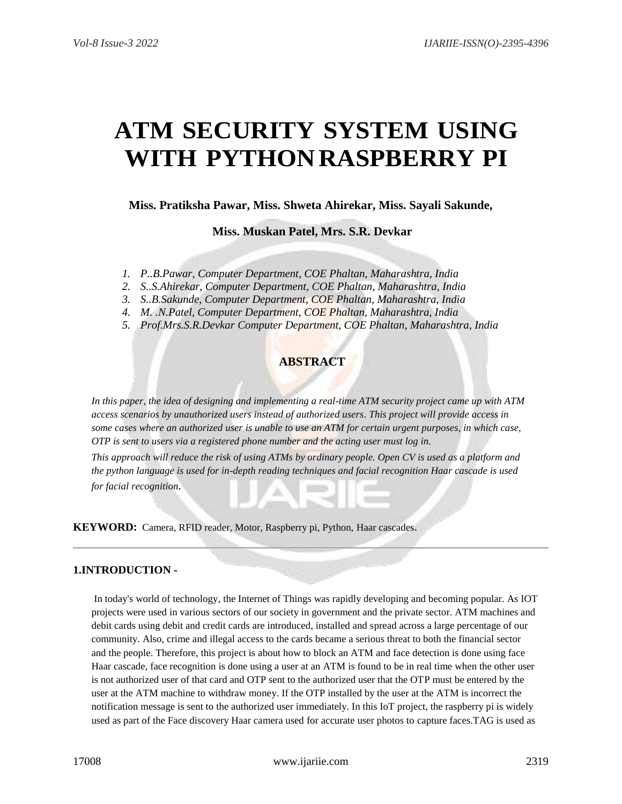# **ATM SECURITY SYSTEM USING WITH PYTHONRASPBERRY PI**

**Miss. Pratiksha Pawar, Miss. Shweta Ahirekar, Miss. Sayali Sakunde,**

**Miss. Muskan Patel, Mrs. S.R. Devkar**

- *1. P..B.Pawar, Computer Department, COE Phaltan, Maharashtra, India*
- *2. S..S.Ahirekar, Computer Department, COE Phaltan, Maharashtra, India*
- *3. S..B.Sakunde, Computer Department, COE Phaltan, Maharashtra, India*
- *4. M. .N.Patel, Computer Department, COE Phaltan, Maharashtra, India*
- *5. Prof.Mrs.S.R.Devkar Computer Department, COE Phaltan, Maharashtra, India*

# **ABSTRACT**

*In this paper, the idea of designing and implementing a real-time ATM security project came up with ATM access scenarios by unauthorized users instead of authorized users. This project will provide access in some cases where an authorized user is unable to use an ATM for certain urgent purposes, in which case, OTP is sent to users via a registered phone number and the acting user must log in.*

*This approach will reduce the risk of using ATMs by ordinary people. Open CV is used as a platform and the python language is used for in-depth reading techniques and facial recognition Haar cascade is used for facial recognition.*

**KEYWORD:** Camera, RFID reader, Motor, Raspberry pi, Python, Haar cascades.

#### **1.INTRODUCTION -**

In today's world of technology, the Internet of Things was rapidly developing and becoming popular. As IOT projects were used in various sectors of our society in government and the private sector. ATM machines and debit cards using debit and credit cards are introduced, installed and spread across a large percentage of our community. Also, crime and illegal access to the cards became a serious threat to both the financial sector and the people. Therefore, this project is about how to block an ATM and face detection is done using face Haar cascade, face recognition is done using a user at an ATM is found to be in real time when the other user is not authorized user of that card and OTP sent to the authorized user that the OTP must be entered by the user at the ATM machine to withdraw money. If the OTP installed by the user at the ATM is incorrect the notification message is sent to the authorized user immediately. In this IoT project, the raspberry pi is widely used as part of the Face discovery Haar camera used for accurate user photos to capture faces.TAG is used as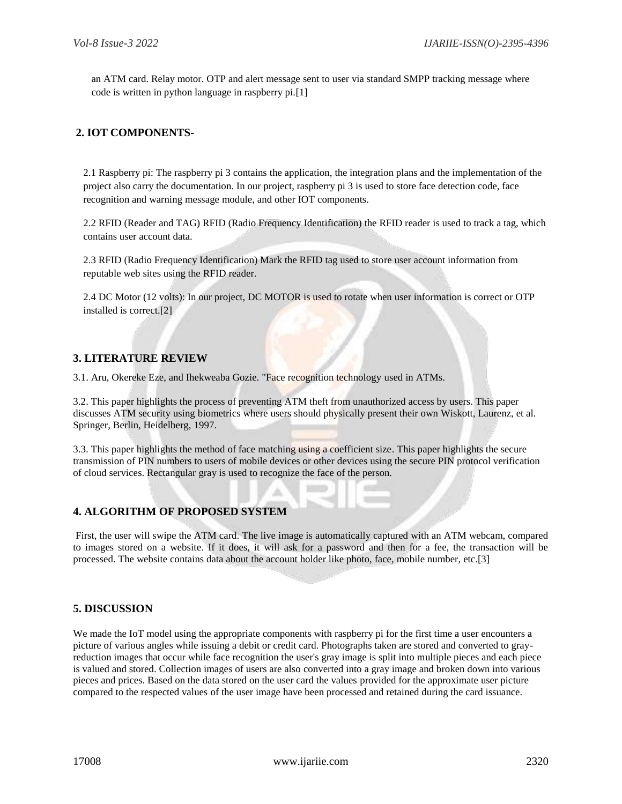an ATM card. Relay motor. OTP and alert message sent to user via standard SMPP tracking message where code is written in python language in raspberry pi.[1]

#### **2. IOT COMPONENTS-**

2.1 Raspberry pi: The raspberry pi 3 contains the application, the integration plans and the implementation of the project also carry the documentation. In our project, raspberry pi 3 is used to store face detection code, face recognition and warning message module, and other IOT components.

2.2 RFID (Reader and TAG) RFID (Radio Frequency Identification) the RFID reader is used to track a tag, which contains user account data.

2.3 RFID (Radio Frequency Identification) Mark the RFID tag used to store user account information from reputable web sites using the RFID reader.

2.4 DC Motor (12 volts): In our project, DC MOTOR is used to rotate when user information is correct or OTP installed is correct.[2]

#### **3. LITERATURE REVIEW**

3.1. Aru, Okereke Eze, and Ihekweaba Gozie. "Face recognition technology used in ATMs.

3.2. This paper highlights the process of preventing ATM theft from unauthorized access by users. This paper discusses ATM security using biometrics where users should physically present their own Wiskott, Laurenz, et al. Springer, Berlin, Heidelberg, 1997.

3.3. This paper highlights the method of face matching using a coefficient size. This paper highlights the secure transmission of PIN numbers to users of mobile devices or other devices using the secure PIN protocol verification of cloud services. Rectangular gray is used to recognize the face of the person.

### **4. ALGORITHM OF PROPOSED SYSTEM**

First, the user will swipe the ATM card. The live image is automatically captured with an ATM webcam, compared to images stored on a website. If it does, it will ask for a password and then for a fee, the transaction will be processed. The website contains data about the account holder like photo, face, mobile number, etc.[3]

### **5. DISCUSSION**

We made the IoT model using the appropriate components with raspberry pi for the first time a user encounters a picture of various angles while issuing a debit or credit card. Photographs taken are stored and converted to grayreduction images that occur while face recognition the user's gray image is split into multiple pieces and each piece is valued and stored. Collection images of users are also converted into a gray image and broken down into various pieces and prices. Based on the data stored on the user card the values provided for the approximate user picture compared to the respected values of the user image have been processed and retained during the card issuance.